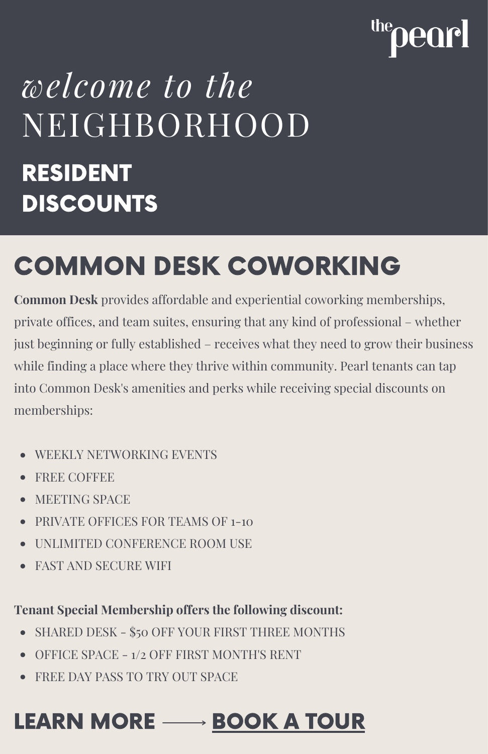# earl

## *welcome to the* NEIGHBORHOOD RESIDENT **DISCOUNTS**

### COMMON DESK COWORKING

**Common Desk** provides affordable and experiential coworking memberships, private offices, and team suites, ensuring that any kind of professional – whether just beginning or fully established – receives what they need to grow their business while finding a place where they thrive within community. Pearl tenants can tap into Common Desk's amenities and perks while receiving special discounts on memberships:

- WEEKLY NETWORKING EVENTS
- FREE COFFEE
- MEETING SPACE
- PRIVATE OFFICES FOR TEAMS OF 1-10
- UNLIMITED CONFERENCE ROOM USE
- FAST AND SECURE WIFI

#### **Tenant Special Membership offers the following discount:**

- SHARED DESK \$50 OFF YOUR FIRST THREE MONTHS
- OFFICE SPACE 1/2 OFF FIRST MONTH'S RENT
- FREE DAY PASS TO TRY OUT SPACE

### LEARN MORE  $\longrightarrow$  [BOOK](https://thecommondesk.com/take-a-tour/) A TOUR